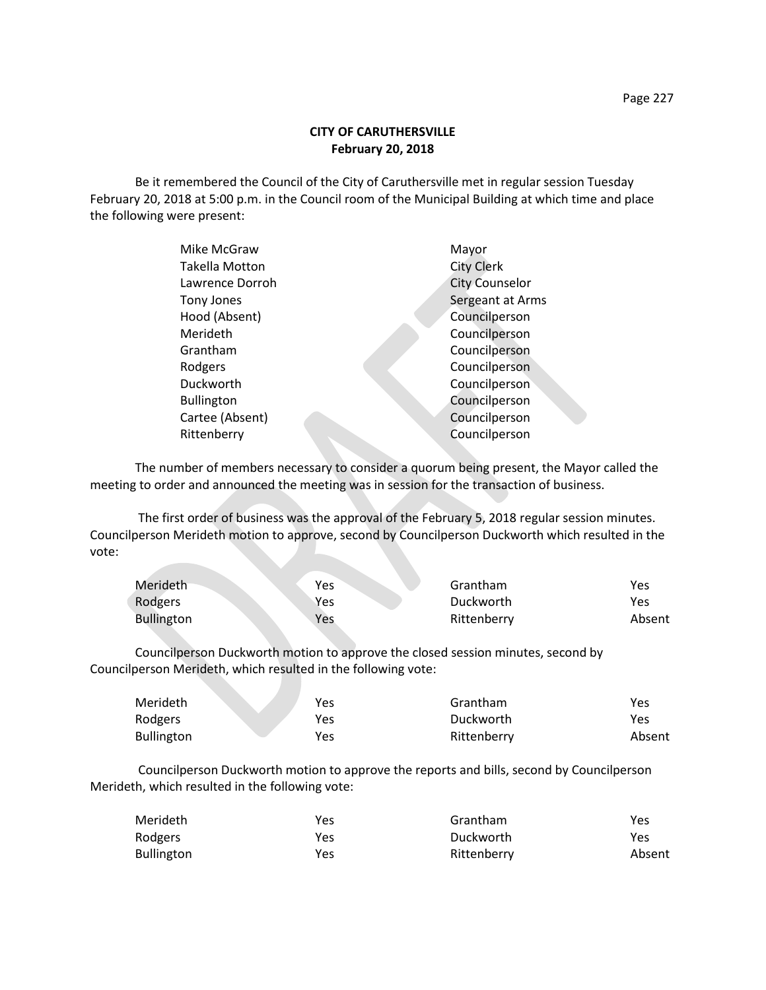## **CITY OF CARUTHERSVILLE February 20, 2018**

Be it remembered the Council of the City of Caruthersville met in regular session Tuesday February 20, 2018 at 5:00 p.m. in the Council room of the Municipal Building at which time and place the following were present:

| Mike McGraw           | Mayor                 |
|-----------------------|-----------------------|
| <b>Takella Motton</b> | <b>City Clerk</b>     |
| Lawrence Dorroh       | <b>City Counselor</b> |
| Tony Jones            | Sergeant at Arms      |
| Hood (Absent)         | Councilperson         |
| Merideth              | Councilperson         |
| Grantham              | Councilperson         |
| Rodgers               | Councilperson         |
| Duckworth             | Councilperson         |
| <b>Bullington</b>     | Councilperson         |
| Cartee (Absent)       | Councilperson         |
| Rittenberry           | Councilperson         |
|                       |                       |

The number of members necessary to consider a quorum being present, the Mayor called the meeting to order and announced the meeting was in session for the transaction of business.

The first order of business was the approval of the February 5, 2018 regular session minutes. Councilperson Merideth motion to approve, second by Councilperson Duckworth which resulted in the vote:

| Merideth          | Yes | Grantham    | Yes    |
|-------------------|-----|-------------|--------|
| Rodgers           | Yes | Duckworth   | Yes    |
| <b>Bullington</b> | Yes | Rittenberry | Absent |

Councilperson Duckworth motion to approve the closed session minutes, second by Councilperson Merideth, which resulted in the following vote:

| Merideth          | Yes | Grantham    | Yes    |
|-------------------|-----|-------------|--------|
| Rodgers           | Yes | Duckworth   | Yes    |
| <b>Bullington</b> | Yes | Rittenberry | Absent |

Councilperson Duckworth motion to approve the reports and bills, second by Councilperson Merideth, which resulted in the following vote:

| Merideth          | Yes | Grantham    | Yes    |
|-------------------|-----|-------------|--------|
| Rodgers           | Yes | Duckworth   | Yes    |
| <b>Bullington</b> | Yes | Rittenberry | Absent |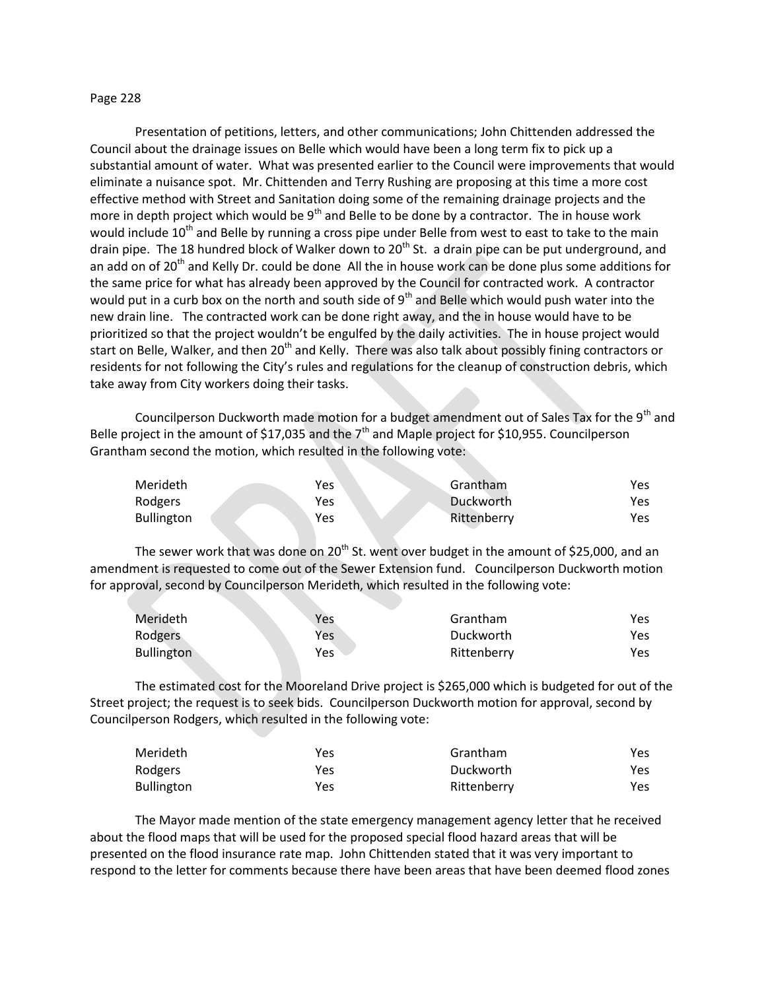## Page 228

Presentation of petitions, letters, and other communications; John Chittenden addressed the Council about the drainage issues on Belle which would have been a long term fix to pick up a substantial amount of water. What was presented earlier to the Council were improvements that would eliminate a nuisance spot. Mr. Chittenden and Terry Rushing are proposing at this time a more cost effective method with Street and Sanitation doing some of the remaining drainage projects and the more in depth project which would be  $9<sup>th</sup>$  and Belle to be done by a contractor. The in house work would include 10<sup>th</sup> and Belle by running a cross pipe under Belle from west to east to take to the main drain pipe. The 18 hundred block of Walker down to  $20<sup>th</sup>$  St. a drain pipe can be put underground, and an add on of 20<sup>th</sup> and Kelly Dr. could be done All the in house work can be done plus some additions for the same price for what has already been approved by the Council for contracted work. A contractor would put in a curb box on the north and south side of  $9<sup>th</sup>$  and Belle which would push water into the new drain line. The contracted work can be done right away, and the in house would have to be prioritized so that the project wouldn't be engulfed by the daily activities. The in house project would start on Belle, Walker, and then 20<sup>th</sup> and Kelly. There was also talk about possibly fining contractors or residents for not following the City's rules and regulations for the cleanup of construction debris, which take away from City workers doing their tasks.

Councilperson Duckworth made motion for a budget amendment out of Sales Tax for the 9<sup>th</sup> and Belle project in the amount of \$17,035 and the  $7<sup>th</sup>$  and Maple project for \$10,955. Councilperson Grantham second the motion, which resulted in the following vote:

| Merideth          | Yes | Grantham    | Yes  |
|-------------------|-----|-------------|------|
| Rodgers           | Yes | Duckworth   | Yes  |
| <b>Bullington</b> | Yes | Rittenberry | Yes. |

The sewer work that was done on 20<sup>th</sup> St. went over budget in the amount of \$25,000, and an amendment is requested to come out of the Sewer Extension fund. Councilperson Duckworth motion for approval, second by Councilperson Merideth, which resulted in the following vote:

| Merideth          | Yes | Grantham    | Yes |
|-------------------|-----|-------------|-----|
| Rodgers           | Yes | Duckworth   | Yes |
| <b>Bullington</b> | Yes | Rittenberry | Yes |

The estimated cost for the Mooreland Drive project is \$265,000 which is budgeted for out of the Street project; the request is to seek bids. Councilperson Duckworth motion for approval, second by Councilperson Rodgers, which resulted in the following vote:

| Merideth          | Yes | Grantham    | Yes  |
|-------------------|-----|-------------|------|
| Rodgers           | Yes | Duckworth   | Yes. |
| <b>Bullington</b> | Yes | Rittenberry | Yes  |

The Mayor made mention of the state emergency management agency letter that he received about the flood maps that will be used for the proposed special flood hazard areas that will be presented on the flood insurance rate map. John Chittenden stated that it was very important to respond to the letter for comments because there have been areas that have been deemed flood zones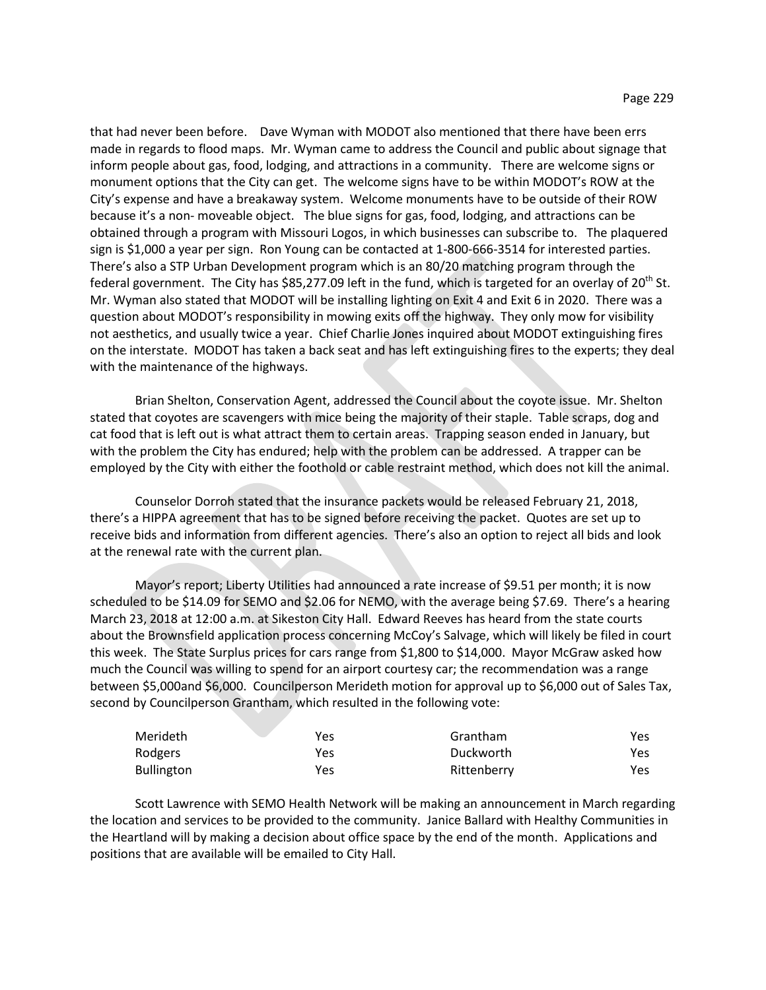that had never been before. Dave Wyman with MODOT also mentioned that there have been errs made in regards to flood maps. Mr. Wyman came to address the Council and public about signage that inform people about gas, food, lodging, and attractions in a community. There are welcome signs or monument options that the City can get. The welcome signs have to be within MODOT's ROW at the City's expense and have a breakaway system. Welcome monuments have to be outside of their ROW because it's a non- moveable object. The blue signs for gas, food, lodging, and attractions can be obtained through a program with Missouri Logos, in which businesses can subscribe to. The plaquered sign is \$1,000 a year per sign. Ron Young can be contacted at 1-800-666-3514 for interested parties. There's also a STP Urban Development program which is an 80/20 matching program through the federal government. The City has \$85,277.09 left in the fund, which is targeted for an overlay of  $20^{th}$  St. Mr. Wyman also stated that MODOT will be installing lighting on Exit 4 and Exit 6 in 2020. There was a question about MODOT's responsibility in mowing exits off the highway. They only mow for visibility not aesthetics, and usually twice a year. Chief Charlie Jones inquired about MODOT extinguishing fires on the interstate. MODOT has taken a back seat and has left extinguishing fires to the experts; they deal with the maintenance of the highways.

Brian Shelton, Conservation Agent, addressed the Council about the coyote issue. Mr. Shelton stated that coyotes are scavengers with mice being the majority of their staple. Table scraps, dog and cat food that is left out is what attract them to certain areas. Trapping season ended in January, but with the problem the City has endured; help with the problem can be addressed. A trapper can be employed by the City with either the foothold or cable restraint method, which does not kill the animal.

Counselor Dorroh stated that the insurance packets would be released February 21, 2018, there's a HIPPA agreement that has to be signed before receiving the packet. Quotes are set up to receive bids and information from different agencies. There's also an option to reject all bids and look at the renewal rate with the current plan.

Mayor's report; Liberty Utilities had announced a rate increase of \$9.51 per month; it is now scheduled to be \$14.09 for SEMO and \$2.06 for NEMO, with the average being \$7.69. There's a hearing March 23, 2018 at 12:00 a.m. at Sikeston City Hall. Edward Reeves has heard from the state courts about the Brownsfield application process concerning McCoy's Salvage, which will likely be filed in court this week. The State Surplus prices for cars range from \$1,800 to \$14,000. Mayor McGraw asked how much the Council was willing to spend for an airport courtesy car; the recommendation was a range between \$5,000and \$6,000. Councilperson Merideth motion for approval up to \$6,000 out of Sales Tax, second by Councilperson Grantham, which resulted in the following vote:

| Merideth          | Yes | Grantham    | Yes |
|-------------------|-----|-------------|-----|
| Rodgers           | Yes | Duckworth   | Yes |
| <b>Bullington</b> | Yes | Rittenberry | Yes |

Scott Lawrence with SEMO Health Network will be making an announcement in March regarding the location and services to be provided to the community. Janice Ballard with Healthy Communities in the Heartland will by making a decision about office space by the end of the month. Applications and positions that are available will be emailed to City Hall.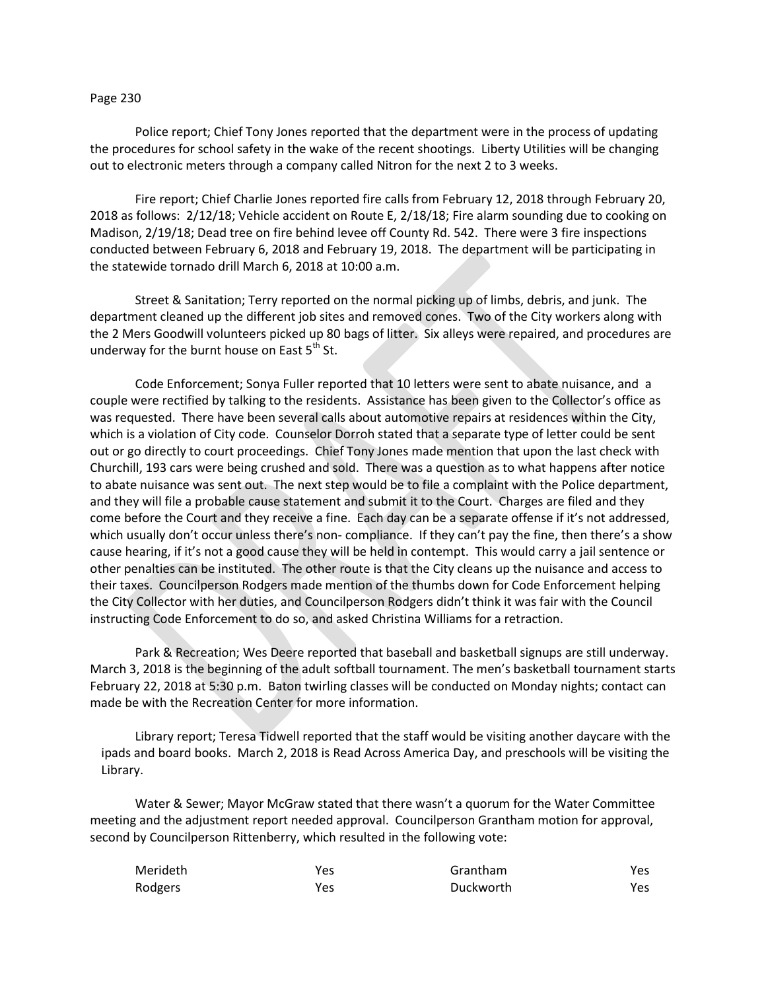## Page 230

Police report; Chief Tony Jones reported that the department were in the process of updating the procedures for school safety in the wake of the recent shootings. Liberty Utilities will be changing out to electronic meters through a company called Nitron for the next 2 to 3 weeks.

Fire report; Chief Charlie Jones reported fire calls from February 12, 2018 through February 20, 2018 as follows: 2/12/18; Vehicle accident on Route E, 2/18/18; Fire alarm sounding due to cooking on Madison, 2/19/18; Dead tree on fire behind levee off County Rd. 542. There were 3 fire inspections conducted between February 6, 2018 and February 19, 2018. The department will be participating in the statewide tornado drill March 6, 2018 at 10:00 a.m.

Street & Sanitation; Terry reported on the normal picking up of limbs, debris, and junk. The department cleaned up the different job sites and removed cones. Two of the City workers along with the 2 Mers Goodwill volunteers picked up 80 bags of litter. Six alleys were repaired, and procedures are underway for the burnt house on East  $5<sup>th</sup>$  St.

Code Enforcement; Sonya Fuller reported that 10 letters were sent to abate nuisance, and a couple were rectified by talking to the residents. Assistance has been given to the Collector's office as was requested. There have been several calls about automotive repairs at residences within the City, which is a violation of City code. Counselor Dorroh stated that a separate type of letter could be sent out or go directly to court proceedings. Chief Tony Jones made mention that upon the last check with Churchill, 193 cars were being crushed and sold. There was a question as to what happens after notice to abate nuisance was sent out. The next step would be to file a complaint with the Police department, and they will file a probable cause statement and submit it to the Court. Charges are filed and they come before the Court and they receive a fine. Each day can be a separate offense if it's not addressed, which usually don't occur unless there's non- compliance. If they can't pay the fine, then there's a show cause hearing, if it's not a good cause they will be held in contempt. This would carry a jail sentence or other penalties can be instituted. The other route is that the City cleans up the nuisance and access to their taxes. Councilperson Rodgers made mention of the thumbs down for Code Enforcement helping the City Collector with her duties, and Councilperson Rodgers didn't think it was fair with the Council instructing Code Enforcement to do so, and asked Christina Williams for a retraction.

Park & Recreation; Wes Deere reported that baseball and basketball signups are still underway. March 3, 2018 is the beginning of the adult softball tournament. The men's basketball tournament starts February 22, 2018 at 5:30 p.m. Baton twirling classes will be conducted on Monday nights; contact can made be with the Recreation Center for more information.

Library report; Teresa Tidwell reported that the staff would be visiting another daycare with the ipads and board books. March 2, 2018 is Read Across America Day, and preschools will be visiting the Library.

Water & Sewer; Mayor McGraw stated that there wasn't a quorum for the Water Committee meeting and the adjustment report needed approval. Councilperson Grantham motion for approval, second by Councilperson Rittenberry, which resulted in the following vote:

| Merideth | Yes | Grantham  | Yes |
|----------|-----|-----------|-----|
| Rodgers  | Yes | Duckworth | Yes |